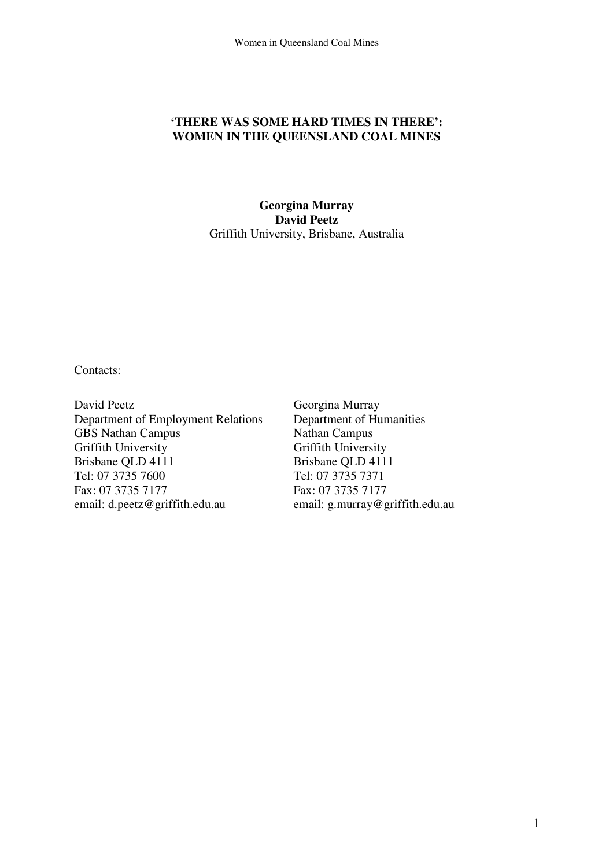### **'THERE WAS SOME HARD TIMES IN THERE': WOMEN IN THE QUEENSLAND COAL MINES**

### **Georgina Murray David Peetz** Griffith University, Brisbane, Australia

Contacts:

David Peetz Department of Employment Relations GBS Nathan Campus Griffith University Brisbane QLD 4111 Tel: 07 3735 7600 Fax: 07 3735 7177 email: d.peetz@griffith.edu.au

Georgina Murray Department of Humanities Nathan Campus Griffith University Brisbane QLD 4111 Tel: 07 3735 7371 Fax: 07 3735 7177 email: g.murray@griffith.edu.au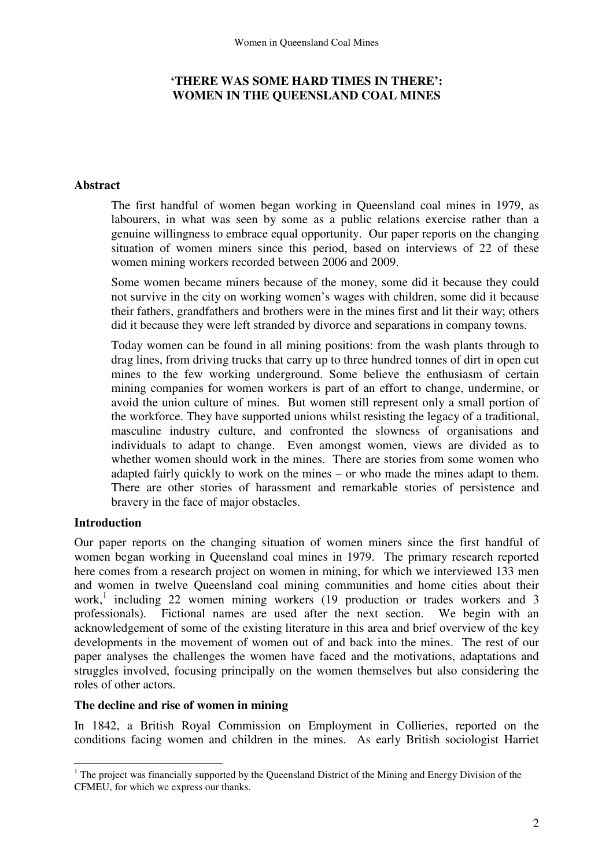# **'THERE WAS SOME HARD TIMES IN THERE': WOMEN IN THE QUEENSLAND COAL MINES**

# **Abstract**

The first handful of women began working in Queensland coal mines in 1979, as labourers, in what was seen by some as a public relations exercise rather than a genuine willingness to embrace equal opportunity. Our paper reports on the changing situation of women miners since this period, based on interviews of 22 of these women mining workers recorded between 2006 and 2009.

Some women became miners because of the money, some did it because they could not survive in the city on working women's wages with children, some did it because their fathers, grandfathers and brothers were in the mines first and lit their way; others did it because they were left stranded by divorce and separations in company towns.

Today women can be found in all mining positions: from the wash plants through to drag lines, from driving trucks that carry up to three hundred tonnes of dirt in open cut mines to the few working underground. Some believe the enthusiasm of certain mining companies for women workers is part of an effort to change, undermine, or avoid the union culture of mines. But women still represent only a small portion of the workforce. They have supported unions whilst resisting the legacy of a traditional, masculine industry culture, and confronted the slowness of organisations and individuals to adapt to change. Even amongst women, views are divided as to whether women should work in the mines. There are stories from some women who adapted fairly quickly to work on the mines – or who made the mines adapt to them. There are other stories of harassment and remarkable stories of persistence and bravery in the face of major obstacles.

# **Introduction**

Our paper reports on the changing situation of women miners since the first handful of women began working in Queensland coal mines in 1979. The primary research reported here comes from a research project on women in mining, for which we interviewed 133 men and women in twelve Queensland coal mining communities and home cities about their work,<sup>1</sup> including 22 women mining workers (19 production or trades workers and 3 professionals). Fictional names are used after the next section. We begin with an acknowledgement of some of the existing literature in this area and brief overview of the key developments in the movement of women out of and back into the mines. The rest of our paper analyses the challenges the women have faced and the motivations, adaptations and struggles involved, focusing principally on the women themselves but also considering the roles of other actors.

#### **The decline and rise of women in mining**

In 1842, a British Royal Commission on Employment in Collieries, reported on the conditions facing women and children in the mines. As early British sociologist Harriet

 $\overline{a}$ <sup>1</sup> The project was financially supported by the Queensland District of the Mining and Energy Division of the CFMEU, for which we express our thanks.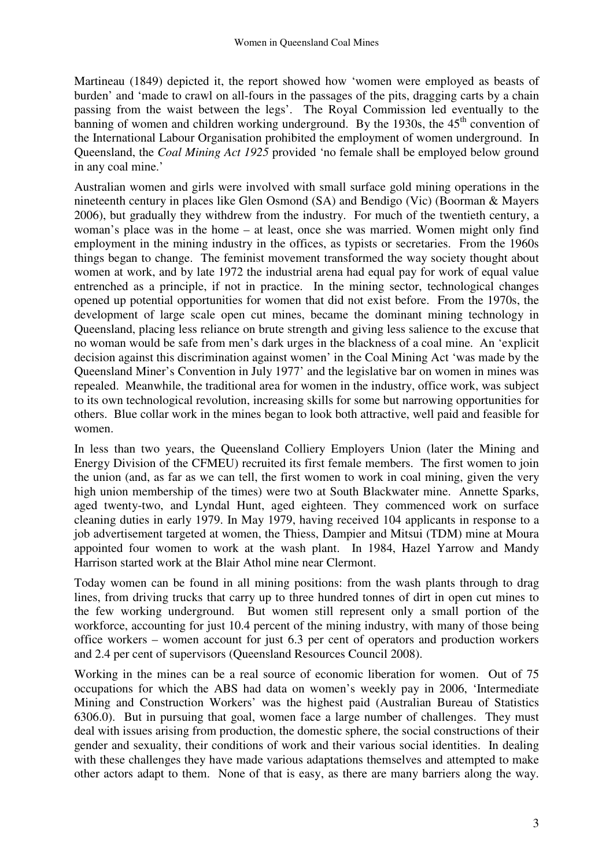Martineau (1849) depicted it, the report showed how 'women were employed as beasts of burden' and 'made to crawl on all-fours in the passages of the pits, dragging carts by a chain passing from the waist between the legs'. The Royal Commission led eventually to the banning of women and children working underground. By the 1930s, the  $45<sup>th</sup>$  convention of the International Labour Organisation prohibited the employment of women underground. In Queensland, the *Coal Mining Act 1925* provided 'no female shall be employed below ground in any coal mine.'

Australian women and girls were involved with small surface gold mining operations in the nineteenth century in places like Glen Osmond (SA) and Bendigo (Vic) (Boorman & Mayers 2006), but gradually they withdrew from the industry. For much of the twentieth century, a woman's place was in the home – at least, once she was married. Women might only find employment in the mining industry in the offices, as typists or secretaries. From the 1960s things began to change. The feminist movement transformed the way society thought about women at work, and by late 1972 the industrial arena had equal pay for work of equal value entrenched as a principle, if not in practice. In the mining sector, technological changes opened up potential opportunities for women that did not exist before. From the 1970s, the development of large scale open cut mines, became the dominant mining technology in Queensland, placing less reliance on brute strength and giving less salience to the excuse that no woman would be safe from men's dark urges in the blackness of a coal mine. An 'explicit decision against this discrimination against women' in the Coal Mining Act 'was made by the Queensland Miner's Convention in July 1977' and the legislative bar on women in mines was repealed. Meanwhile, the traditional area for women in the industry, office work, was subject to its own technological revolution, increasing skills for some but narrowing opportunities for others. Blue collar work in the mines began to look both attractive, well paid and feasible for women.

In less than two years, the Queensland Colliery Employers Union (later the Mining and Energy Division of the CFMEU) recruited its first female members. The first women to join the union (and, as far as we can tell, the first women to work in coal mining, given the very high union membership of the times) were two at South Blackwater mine. Annette Sparks, aged twenty-two, and Lyndal Hunt, aged eighteen. They commenced work on surface cleaning duties in early 1979. In May 1979, having received 104 applicants in response to a job advertisement targeted at women, the Thiess, Dampier and Mitsui (TDM) mine at Moura appointed four women to work at the wash plant. In 1984, Hazel Yarrow and Mandy Harrison started work at the Blair Athol mine near Clermont.

Today women can be found in all mining positions: from the wash plants through to drag lines, from driving trucks that carry up to three hundred tonnes of dirt in open cut mines to the few working underground. But women still represent only a small portion of the workforce, accounting for just 10.4 percent of the mining industry, with many of those being office workers – women account for just 6.3 per cent of operators and production workers and 2.4 per cent of supervisors (Queensland Resources Council 2008).

Working in the mines can be a real source of economic liberation for women. Out of 75 occupations for which the ABS had data on women's weekly pay in 2006, 'Intermediate Mining and Construction Workers' was the highest paid (Australian Bureau of Statistics 6306.0). But in pursuing that goal, women face a large number of challenges. They must deal with issues arising from production, the domestic sphere, the social constructions of their gender and sexuality, their conditions of work and their various social identities. In dealing with these challenges they have made various adaptations themselves and attempted to make other actors adapt to them. None of that is easy, as there are many barriers along the way.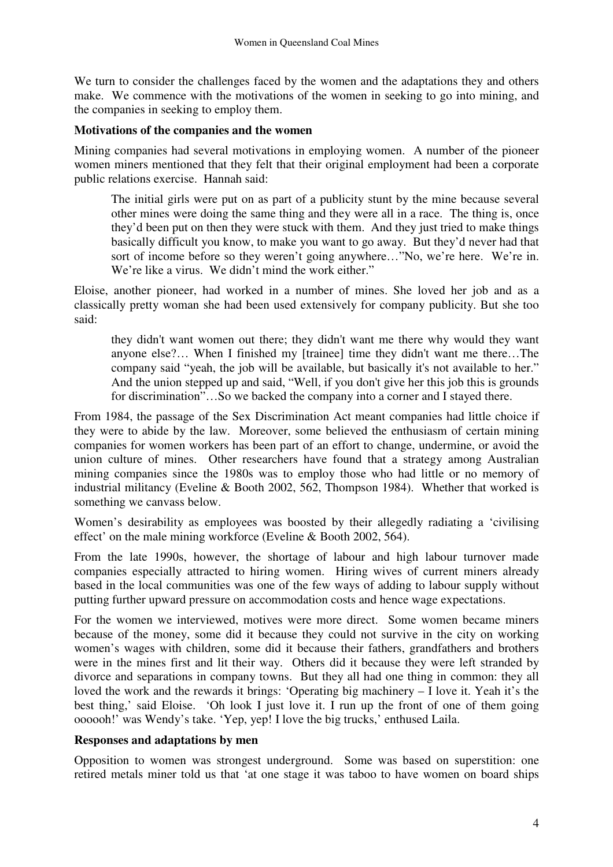We turn to consider the challenges faced by the women and the adaptations they and others make. We commence with the motivations of the women in seeking to go into mining, and the companies in seeking to employ them.

### **Motivations of the companies and the women**

Mining companies had several motivations in employing women. A number of the pioneer women miners mentioned that they felt that their original employment had been a corporate public relations exercise. Hannah said:

The initial girls were put on as part of a publicity stunt by the mine because several other mines were doing the same thing and they were all in a race. The thing is, once they'd been put on then they were stuck with them. And they just tried to make things basically difficult you know, to make you want to go away. But they'd never had that sort of income before so they weren't going anywhere…"No, we're here. We're in. We're like a virus. We didn't mind the work either."

Eloise, another pioneer, had worked in a number of mines. She loved her job and as a classically pretty woman she had been used extensively for company publicity. But she too said:

they didn't want women out there; they didn't want me there why would they want anyone else?… When I finished my [trainee] time they didn't want me there…The company said "yeah, the job will be available, but basically it's not available to her." And the union stepped up and said, "Well, if you don't give her this job this is grounds for discrimination"...So we backed the company into a corner and I stayed there.

From 1984, the passage of the Sex Discrimination Act meant companies had little choice if they were to abide by the law. Moreover, some believed the enthusiasm of certain mining companies for women workers has been part of an effort to change, undermine, or avoid the union culture of mines. Other researchers have found that a strategy among Australian mining companies since the 1980s was to employ those who had little or no memory of industrial militancy (Eveline & Booth 2002, 562, Thompson 1984). Whether that worked is something we canvass below.

Women's desirability as employees was boosted by their allegedly radiating a 'civilising effect' on the male mining workforce (Eveline & Booth 2002, 564).

From the late 1990s, however, the shortage of labour and high labour turnover made companies especially attracted to hiring women. Hiring wives of current miners already based in the local communities was one of the few ways of adding to labour supply without putting further upward pressure on accommodation costs and hence wage expectations.

For the women we interviewed, motives were more direct. Some women became miners because of the money, some did it because they could not survive in the city on working women's wages with children, some did it because their fathers, grandfathers and brothers were in the mines first and lit their way. Others did it because they were left stranded by divorce and separations in company towns. But they all had one thing in common: they all loved the work and the rewards it brings: 'Operating big machinery – I love it. Yeah it's the best thing,' said Eloise. 'Oh look I just love it. I run up the front of one of them going oooooh!' was Wendy's take. 'Yep, yep! I love the big trucks,' enthused Laila.

#### **Responses and adaptations by men**

Opposition to women was strongest underground. Some was based on superstition: one retired metals miner told us that 'at one stage it was taboo to have women on board ships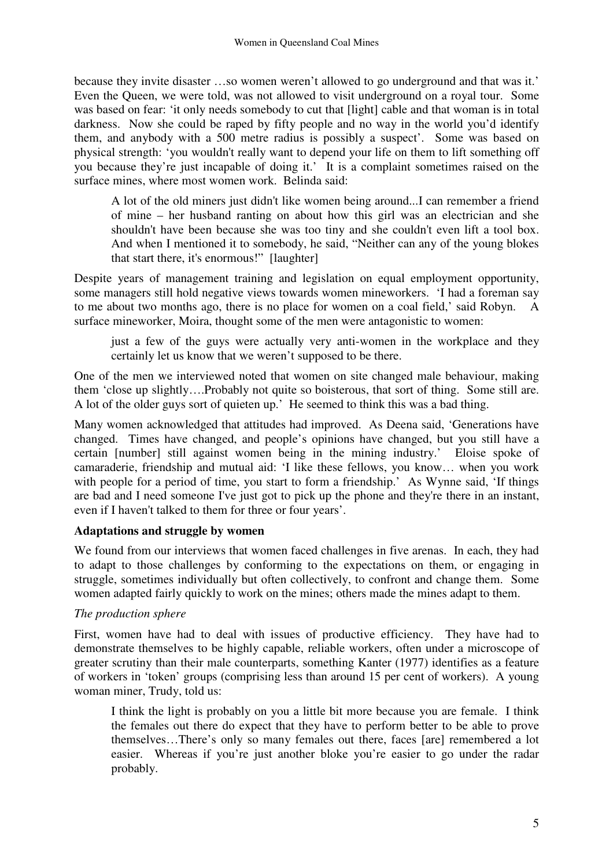because they invite disaster …so women weren't allowed to go underground and that was it.' Even the Queen, we were told, was not allowed to visit underground on a royal tour. Some was based on fear: 'it only needs somebody to cut that [light] cable and that woman is in total darkness. Now she could be raped by fifty people and no way in the world you'd identify them, and anybody with a 500 metre radius is possibly a suspect'. Some was based on physical strength: 'you wouldn't really want to depend your life on them to lift something off you because they're just incapable of doing it.' It is a complaint sometimes raised on the surface mines, where most women work. Belinda said:

A lot of the old miners just didn't like women being around...I can remember a friend of mine – her husband ranting on about how this girl was an electrician and she shouldn't have been because she was too tiny and she couldn't even lift a tool box. And when I mentioned it to somebody, he said, "Neither can any of the young blokes that start there, it's enormous!" [laughter]

Despite years of management training and legislation on equal employment opportunity, some managers still hold negative views towards women mineworkers. 'I had a foreman say to me about two months ago, there is no place for women on a coal field,' said Robyn. A surface mineworker, Moira, thought some of the men were antagonistic to women:

just a few of the guys were actually very anti-women in the workplace and they certainly let us know that we weren't supposed to be there.

One of the men we interviewed noted that women on site changed male behaviour, making them 'close up slightly….Probably not quite so boisterous, that sort of thing. Some still are. A lot of the older guys sort of quieten up.' He seemed to think this was a bad thing.

Many women acknowledged that attitudes had improved. As Deena said, 'Generations have changed. Times have changed, and people's opinions have changed, but you still have a certain [number] still against women being in the mining industry.' Eloise spoke of camaraderie, friendship and mutual aid: 'I like these fellows, you know… when you work with people for a period of time, you start to form a friendship.' As Wynne said, 'If things are bad and I need someone I've just got to pick up the phone and they're there in an instant, even if I haven't talked to them for three or four years'.

# **Adaptations and struggle by women**

We found from our interviews that women faced challenges in five arenas. In each, they had to adapt to those challenges by conforming to the expectations on them, or engaging in struggle, sometimes individually but often collectively, to confront and change them. Some women adapted fairly quickly to work on the mines; others made the mines adapt to them.

### *The production sphere*

First, women have had to deal with issues of productive efficiency.They have had to demonstrate themselves to be highly capable, reliable workers, often under a microscope of greater scrutiny than their male counterparts, something Kanter (1977) identifies as a feature of workers in 'token' groups (comprising less than around 15 per cent of workers). A young woman miner, Trudy, told us:

I think the light is probably on you a little bit more because you are female. I think the females out there do expect that they have to perform better to be able to prove themselves…There's only so many females out there, faces [are] remembered a lot easier. Whereas if you're just another bloke you're easier to go under the radar probably.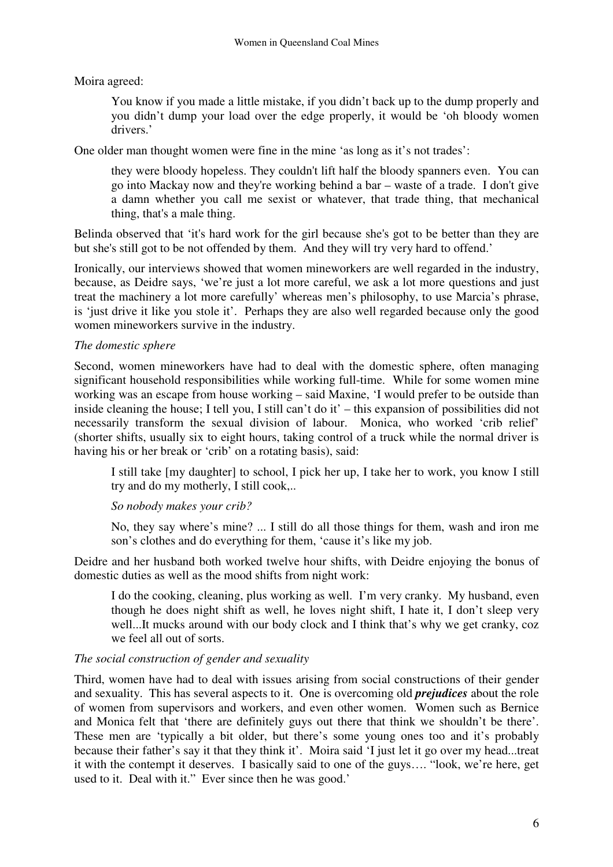Moira agreed:

You know if you made a little mistake, if you didn't back up to the dump properly and you didn't dump your load over the edge properly, it would be 'oh bloody women drivers.'

One older man thought women were fine in the mine 'as long as it's not trades':

 they were bloody hopeless. They couldn't lift half the bloody spanners even. You can go into Mackay now and they're working behind a bar – waste of a trade. I don't give a damn whether you call me sexist or whatever, that trade thing, that mechanical thing, that's a male thing.

Belinda observed that 'it's hard work for the girl because she's got to be better than they are but she's still got to be not offended by them. And they will try very hard to offend.'

Ironically, our interviews showed that women mineworkers are well regarded in the industry, because, as Deidre says, 'we're just a lot more careful, we ask a lot more questions and just treat the machinery a lot more carefully' whereas men's philosophy, to use Marcia's phrase, is 'just drive it like you stole it'. Perhaps they are also well regarded because only the good women mineworkers survive in the industry.

# *The domestic sphere*

Second, women mineworkers have had to deal with the domestic sphere, often managing significant household responsibilities while working full-time. While for some women mine working was an escape from house working – said Maxine, 'I would prefer to be outside than inside cleaning the house; I tell you, I still can't do it' – this expansion of possibilities did not necessarily transform the sexual division of labour. Monica, who worked 'crib relief' (shorter shifts, usually six to eight hours, taking control of a truck while the normal driver is having his or her break or 'crib' on a rotating basis), said:

I still take [my daughter] to school, I pick her up, I take her to work, you know I still try and do my motherly, I still cook,..

# *So nobody makes your crib?*

No, they say where's mine? ... I still do all those things for them, wash and iron me son's clothes and do everything for them, 'cause it's like my job.

Deidre and her husband both worked twelve hour shifts, with Deidre enjoying the bonus of domestic duties as well as the mood shifts from night work:

I do the cooking, cleaning, plus working as well. I'm very cranky. My husband, even though he does night shift as well, he loves night shift, I hate it, I don't sleep very well...It mucks around with our body clock and I think that's why we get cranky, coz we feel all out of sorts.

# *The social construction of gender and sexuality*

Third, women have had to deal with issues arising from social constructions of their gender and sexuality. This has several aspects to it. One is overcoming old *prejudices* about the role of women from supervisors and workers, and even other women. Women such as Bernice and Monica felt that 'there are definitely guys out there that think we shouldn't be there'. These men are 'typically a bit older, but there's some young ones too and it's probably because their father's say it that they think it'. Moira said 'I just let it go over my head...treat it with the contempt it deserves. I basically said to one of the guys…. "look, we're here, get used to it. Deal with it." Ever since then he was good.'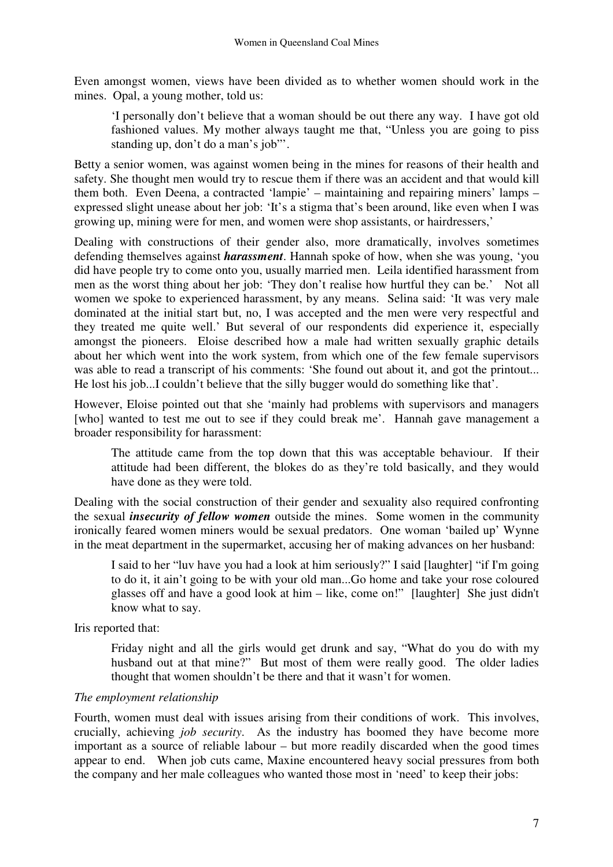Even amongst women, views have been divided as to whether women should work in the mines. Opal, a young mother, told us:

'I personally don't believe that a woman should be out there any way. I have got old fashioned values. My mother always taught me that, "Unless you are going to piss standing up, don't do a man's job"'.

Betty a senior women, was against women being in the mines for reasons of their health and safety. She thought men would try to rescue them if there was an accident and that would kill them both. Even Deena, a contracted 'lampie' – maintaining and repairing miners' lamps – expressed slight unease about her job: 'It's a stigma that's been around, like even when I was growing up, mining were for men, and women were shop assistants, or hairdressers,'

Dealing with constructions of their gender also, more dramatically, involves sometimes defending themselves against *harassment*. Hannah spoke of how, when she was young, 'you did have people try to come onto you, usually married men. Leila identified harassment from men as the worst thing about her job: 'They don't realise how hurtful they can be.' Not all women we spoke to experienced harassment, by any means. Selina said: 'It was very male dominated at the initial start but, no, I was accepted and the men were very respectful and they treated me quite well.' But several of our respondents did experience it, especially amongst the pioneers. Eloise described how a male had written sexually graphic details about her which went into the work system, from which one of the few female supervisors was able to read a transcript of his comments: 'She found out about it, and got the printout... He lost his job...I couldn't believe that the silly bugger would do something like that'.

However, Eloise pointed out that she 'mainly had problems with supervisors and managers [who] wanted to test me out to see if they could break me'. Hannah gave management a broader responsibility for harassment:

The attitude came from the top down that this was acceptable behaviour. If their attitude had been different, the blokes do as they're told basically, and they would have done as they were told.

Dealing with the social construction of their gender and sexuality also required confronting the sexual *insecurity of fellow women* outside the mines. Some women in the community ironically feared women miners would be sexual predators. One woman 'bailed up' Wynne in the meat department in the supermarket, accusing her of making advances on her husband:

I said to her "luv have you had a look at him seriously?" I said [laughter] "if I'm going to do it, it ain't going to be with your old man...Go home and take your rose coloured glasses off and have a good look at him – like, come on!" [laughter] She just didn't know what to say.

Iris reported that:

Friday night and all the girls would get drunk and say, "What do you do with my husband out at that mine?" But most of them were really good. The older ladies thought that women shouldn't be there and that it wasn't for women.

# *The employment relationship*

Fourth, women must deal with issues arising from their conditions of work. This involves, crucially, achieving *job security*. As the industry has boomed they have become more important as a source of reliable labour – but more readily discarded when the good times appear to end. When job cuts came, Maxine encountered heavy social pressures from both the company and her male colleagues who wanted those most in 'need' to keep their jobs: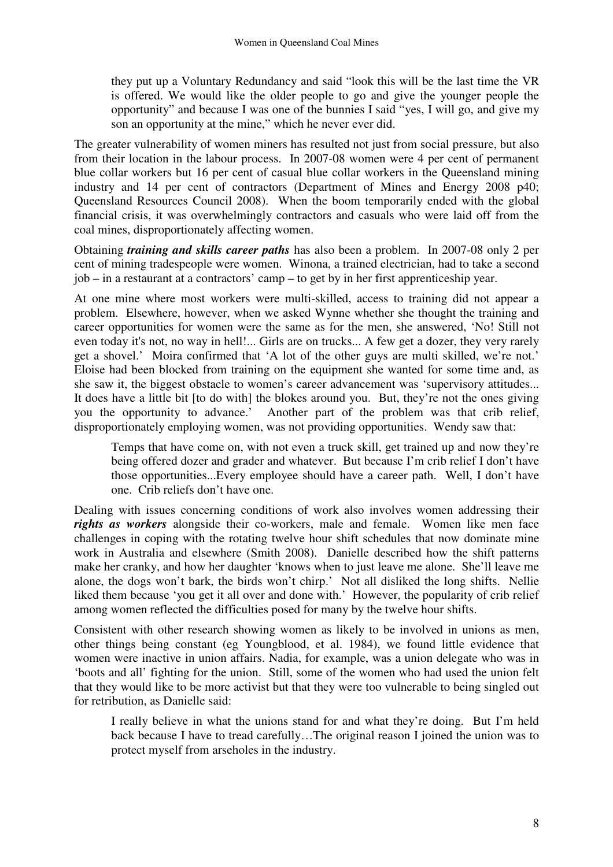they put up a Voluntary Redundancy and said "look this will be the last time the VR is offered. We would like the older people to go and give the younger people the opportunity" and because I was one of the bunnies I said "yes, I will go, and give my son an opportunity at the mine," which he never ever did.

The greater vulnerability of women miners has resulted not just from social pressure, but also from their location in the labour process. In 2007-08 women were 4 per cent of permanent blue collar workers but 16 per cent of casual blue collar workers in the Queensland mining industry and 14 per cent of contractors (Department of Mines and Energy 2008 p40; Queensland Resources Council 2008). When the boom temporarily ended with the global financial crisis, it was overwhelmingly contractors and casuals who were laid off from the coal mines, disproportionately affecting women.

Obtaining *training and skills career paths* has also been a problem. In 2007-08 only 2 per cent of mining tradespeople were women. Winona, a trained electrician, had to take a second job – in a restaurant at a contractors' camp – to get by in her first apprenticeship year.

At one mine where most workers were multi-skilled, access to training did not appear a problem. Elsewhere, however, when we asked Wynne whether she thought the training and career opportunities for women were the same as for the men, she answered, 'No! Still not even today it's not, no way in hell!... Girls are on trucks... A few get a dozer, they very rarely get a shovel.' Moira confirmed that 'A lot of the other guys are multi skilled, we're not.' Eloise had been blocked from training on the equipment she wanted for some time and, as she saw it, the biggest obstacle to women's career advancement was 'supervisory attitudes... It does have a little bit [to do with] the blokes around you. But, they're not the ones giving you the opportunity to advance.' Another part of the problem was that crib relief, disproportionately employing women, was not providing opportunities. Wendy saw that:

Temps that have come on, with not even a truck skill, get trained up and now they're being offered dozer and grader and whatever. But because I'm crib relief I don't have those opportunities...Every employee should have a career path. Well, I don't have one. Crib reliefs don't have one.

Dealing with issues concerning conditions of work also involves women addressing their *rights as workers* alongside their co-workers, male and female. Women like men face challenges in coping with the rotating twelve hour shift schedules that now dominate mine work in Australia and elsewhere (Smith 2008). Danielle described how the shift patterns make her cranky, and how her daughter 'knows when to just leave me alone. She'll leave me alone, the dogs won't bark, the birds won't chirp.' Not all disliked the long shifts. Nellie liked them because 'you get it all over and done with.' However, the popularity of crib relief among women reflected the difficulties posed for many by the twelve hour shifts.

Consistent with other research showing women as likely to be involved in unions as men, other things being constant (eg Youngblood, et al. 1984), we found little evidence that women were inactive in union affairs. Nadia, for example, was a union delegate who was in 'boots and all' fighting for the union. Still, some of the women who had used the union felt that they would like to be more activist but that they were too vulnerable to being singled out for retribution, as Danielle said:

I really believe in what the unions stand for and what they're doing. But I'm held back because I have to tread carefully…The original reason I joined the union was to protect myself from arseholes in the industry.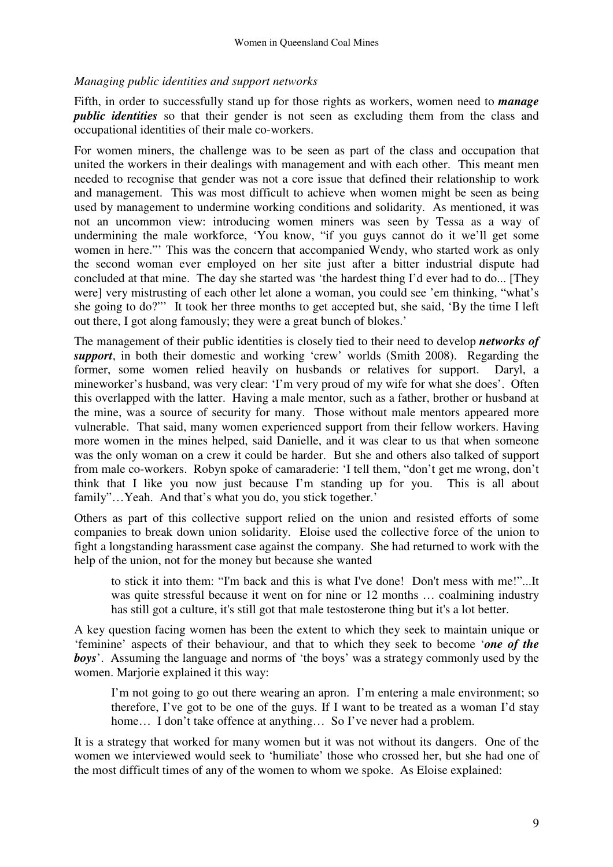### *Managing public identities and support networks*

Fifth, in order to successfully stand up for those rights as workers, women need to *manage public identities* so that their gender is not seen as excluding them from the class and occupational identities of their male co-workers.

For women miners, the challenge was to be seen as part of the class and occupation that united the workers in their dealings with management and with each other. This meant men needed to recognise that gender was not a core issue that defined their relationship to work and management. This was most difficult to achieve when women might be seen as being used by management to undermine working conditions and solidarity. As mentioned, it was not an uncommon view: introducing women miners was seen by Tessa as a way of undermining the male workforce, 'You know, "if you guys cannot do it we'll get some women in here."' This was the concern that accompanied Wendy, who started work as only the second woman ever employed on her site just after a bitter industrial dispute had concluded at that mine. The day she started was 'the hardest thing I'd ever had to do... [They were] very mistrusting of each other let alone a woman, you could see 'em thinking, "what's she going to do?"' It took her three months to get accepted but, she said, 'By the time I left out there, I got along famously; they were a great bunch of blokes.'

The management of their public identities is closely tied to their need to develop *networks of support*, in both their domestic and working 'crew' worlds (Smith 2008). Regarding the former, some women relied heavily on husbands or relatives for support. Daryl, a mineworker's husband, was very clear: 'I'm very proud of my wife for what she does'. Often this overlapped with the latter. Having a male mentor, such as a father, brother or husband at the mine, was a source of security for many. Those without male mentors appeared more vulnerable. That said, many women experienced support from their fellow workers. Having more women in the mines helped, said Danielle, and it was clear to us that when someone was the only woman on a crew it could be harder. But she and others also talked of support from male co-workers. Robyn spoke of camaraderie: 'I tell them, "don't get me wrong, don't think that I like you now just because I'm standing up for you. This is all about family"...Yeah. And that's what you do, you stick together.'

Others as part of this collective support relied on the union and resisted efforts of some companies to break down union solidarity. Eloise used the collective force of the union to fight a longstanding harassment case against the company. She had returned to work with the help of the union, not for the money but because she wanted

to stick it into them: "I'm back and this is what I've done! Don't mess with me!"...It was quite stressful because it went on for nine or 12 months … coalmining industry has still got a culture, it's still got that male testosterone thing but it's a lot better.

A key question facing women has been the extent to which they seek to maintain unique or 'feminine' aspects of their behaviour, and that to which they seek to become '*one of the boys*'. Assuming the language and norms of 'the boys' was a strategy commonly used by the women. Mariorie explained it this way:

I'm not going to go out there wearing an apron. I'm entering a male environment; so therefore, I've got to be one of the guys. If I want to be treated as a woman I'd stay home... I don't take offence at anything... So I've never had a problem.

It is a strategy that worked for many women but it was not without its dangers. One of the women we interviewed would seek to 'humiliate' those who crossed her, but she had one of the most difficult times of any of the women to whom we spoke. As Eloise explained: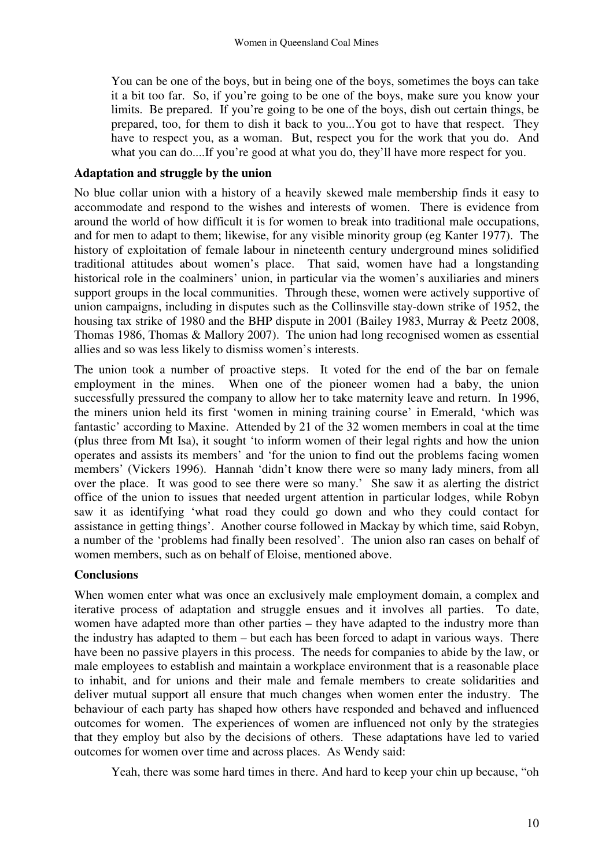You can be one of the boys, but in being one of the boys, sometimes the boys can take it a bit too far. So, if you're going to be one of the boys, make sure you know your limits. Be prepared. If you're going to be one of the boys, dish out certain things, be prepared, too, for them to dish it back to you...You got to have that respect. They have to respect you, as a woman. But, respect you for the work that you do. And what you can do....If you're good at what you do, they'll have more respect for you.

### **Adaptation and struggle by the union**

No blue collar union with a history of a heavily skewed male membership finds it easy to accommodate and respond to the wishes and interests of women. There is evidence from around the world of how difficult it is for women to break into traditional male occupations, and for men to adapt to them; likewise, for any visible minority group (eg Kanter 1977). The history of exploitation of female labour in nineteenth century underground mines solidified traditional attitudes about women's place. That said, women have had a longstanding historical role in the coalminers' union, in particular via the women's auxiliaries and miners support groups in the local communities. Through these, women were actively supportive of union campaigns, including in disputes such as the Collinsville stay-down strike of 1952, the housing tax strike of 1980 and the BHP dispute in 2001 (Bailey 1983, Murray & Peetz 2008, Thomas 1986, Thomas & Mallory 2007). The union had long recognised women as essential allies and so was less likely to dismiss women's interests.

The union took a number of proactive steps. It voted for the end of the bar on female employment in the mines. When one of the pioneer women had a baby, the union successfully pressured the company to allow her to take maternity leave and return. In 1996, the miners union held its first 'women in mining training course' in Emerald, 'which was fantastic' according to Maxine. Attended by 21 of the 32 women members in coal at the time (plus three from Mt Isa), it sought 'to inform women of their legal rights and how the union operates and assists its members' and 'for the union to find out the problems facing women members' (Vickers 1996). Hannah 'didn't know there were so many lady miners, from all over the place. It was good to see there were so many.' She saw it as alerting the district office of the union to issues that needed urgent attention in particular lodges, while Robyn saw it as identifying 'what road they could go down and who they could contact for assistance in getting things'. Another course followed in Mackay by which time, said Robyn, a number of the 'problems had finally been resolved'. The union also ran cases on behalf of women members, such as on behalf of Eloise, mentioned above.

# **Conclusions**

When women enter what was once an exclusively male employment domain, a complex and iterative process of adaptation and struggle ensues and it involves all parties. To date, women have adapted more than other parties – they have adapted to the industry more than the industry has adapted to them – but each has been forced to adapt in various ways. There have been no passive players in this process. The needs for companies to abide by the law, or male employees to establish and maintain a workplace environment that is a reasonable place to inhabit, and for unions and their male and female members to create solidarities and deliver mutual support all ensure that much changes when women enter the industry. The behaviour of each party has shaped how others have responded and behaved and influenced outcomes for women. The experiences of women are influenced not only by the strategies that they employ but also by the decisions of others. These adaptations have led to varied outcomes for women over time and across places. As Wendy said:

Yeah, there was some hard times in there. And hard to keep your chin up because, "oh